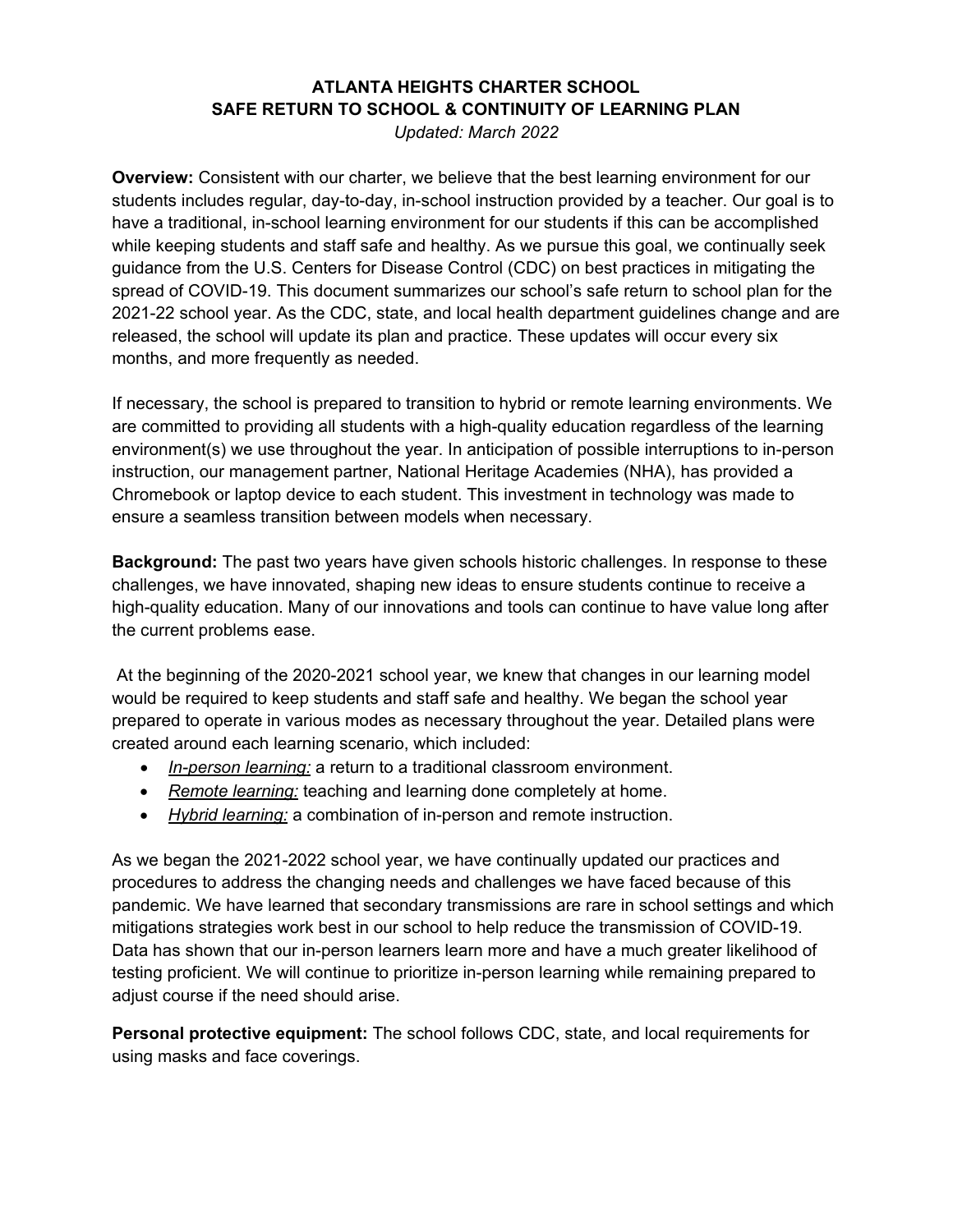## **ATLANTA HEIGHTS CHARTER SCHOOL SAFE RETURN TO SCHOOL & CONTINUITY OF LEARNING PLAN**

*Updated: March 2022*

**Overview:** Consistent with our charter, we believe that the best learning environment for our students includes regular, day-to-day, in-school instruction provided by a teacher. Our goal is to have a traditional, in-school learning environment for our students if this can be accomplished while keeping students and staff safe and healthy. As we pursue this goal, we continually seek guidance from the U.S. Centers for Disease Control (CDC) on best practices in mitigating the spread of COVID-19. This document summarizes our school's safe return to school plan for the 2021-22 school year. As the CDC, state, and local health department guidelines change and are released, the school will update its plan and practice. These updates will occur every six months, and more frequently as needed.

If necessary, the school is prepared to transition to hybrid or remote learning environments. We are committed to providing all students with a high-quality education regardless of the learning environment(s) we use throughout the year. In anticipation of possible interruptions to in-person instruction, our management partner, National Heritage Academies (NHA), has provided a Chromebook or laptop device to each student. This investment in technology was made to ensure a seamless transition between models when necessary.

**Background:** The past two years have given schools historic challenges. In response to these challenges, we have innovated, shaping new ideas to ensure students continue to receive a high-quality education. Many of our innovations and tools can continue to have value long after the current problems ease.

At the beginning of the 2020-2021 school year, we knew that changes in our learning model would be required to keep students and staff safe and healthy. We began the school year prepared to operate in various modes as necessary throughout the year. Detailed plans were created around each learning scenario, which included:

- *In-person learning:* a return to a traditional classroom environment.
- *Remote learning:* teaching and learning done completely at home.
- *Hybrid learning:* a combination of in-person and remote instruction.

As we began the 2021-2022 school year, we have continually updated our practices and procedures to address the changing needs and challenges we have faced because of this pandemic. We have learned that secondary transmissions are rare in school settings and which mitigations strategies work best in our school to help reduce the transmission of COVID-19. Data has shown that our in-person learners learn more and have a much greater likelihood of testing proficient. We will continue to prioritize in-person learning while remaining prepared to adjust course if the need should arise.

**Personal protective equipment:** The school follows CDC, state, and local requirements for using masks and face coverings.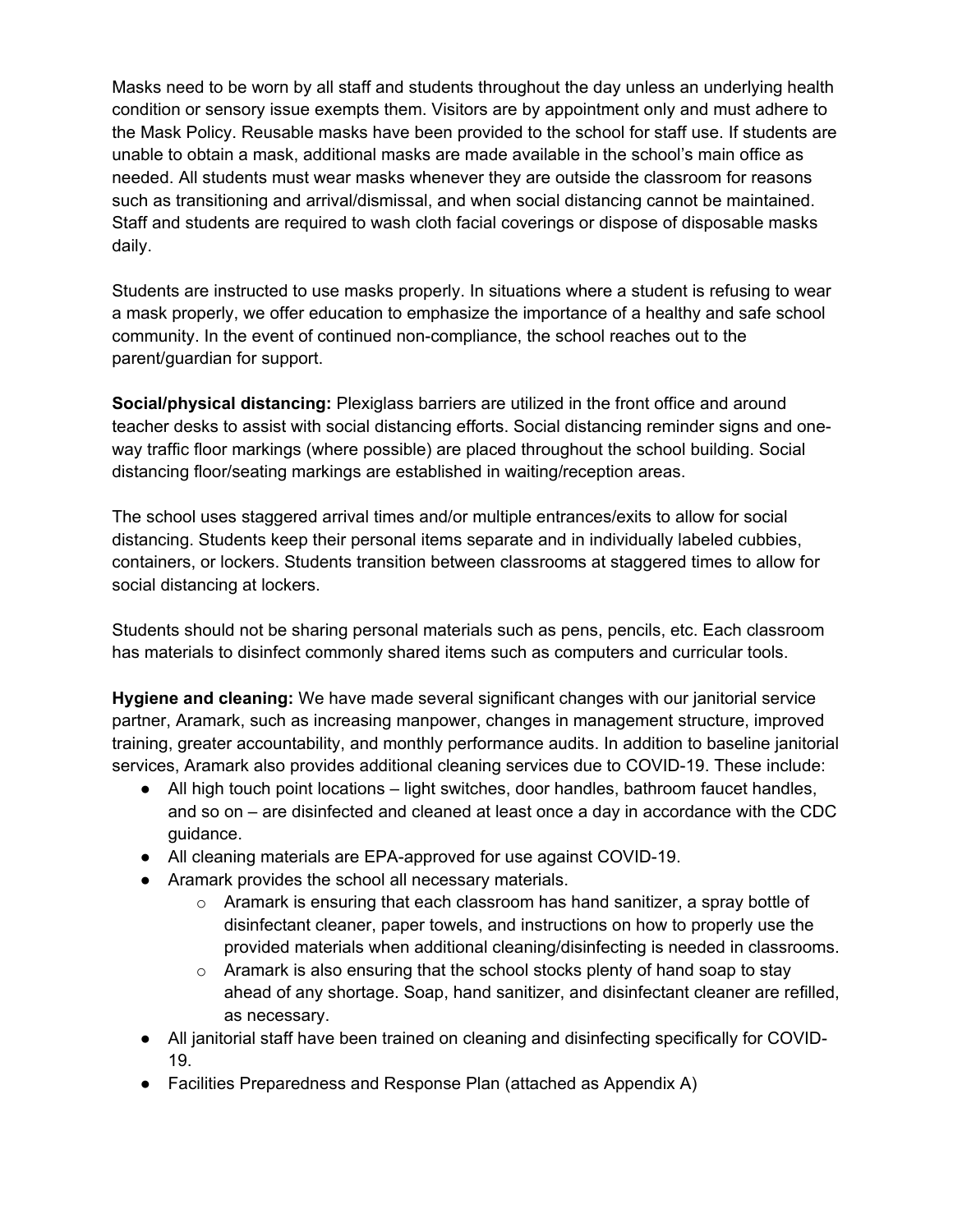Masks need to be worn by all staff and students throughout the day unless an underlying health condition or sensory issue exempts them. Visitors are by appointment only and must adhere to the Mask Policy. Reusable masks have been provided to the school for staff use. If students are unable to obtain a mask, additional masks are made available in the school's main office as needed. All students must wear masks whenever they are outside the classroom for reasons such as transitioning and arrival/dismissal, and when social distancing cannot be maintained. Staff and students are required to wash cloth facial coverings or dispose of disposable masks daily.

Students are instructed to use masks properly. In situations where a student is refusing to wear a mask properly, we offer education to emphasize the importance of a healthy and safe school community. In the event of continued non-compliance, the school reaches out to the parent/guardian for support.

**Social/physical distancing:** Plexiglass barriers are utilized in the front office and around teacher desks to assist with social distancing efforts. Social distancing reminder signs and oneway traffic floor markings (where possible) are placed throughout the school building. Social distancing floor/seating markings are established in waiting/reception areas.

The school uses staggered arrival times and/or multiple entrances/exits to allow for social distancing. Students keep their personal items separate and in individually labeled cubbies, containers, or lockers. Students transition between classrooms at staggered times to allow for social distancing at lockers.

Students should not be sharing personal materials such as pens, pencils, etc. Each classroom has materials to disinfect commonly shared items such as computers and curricular tools.

**Hygiene and cleaning:** We have made several significant changes with our janitorial service partner, Aramark, such as increasing manpower, changes in management structure, improved training, greater accountability, and monthly performance audits. In addition to baseline janitorial services, Aramark also provides additional cleaning services due to COVID-19. These include:

- All high touch point locations light switches, door handles, bathroom faucet handles, and so on – are disinfected and cleaned at least once a day in accordance with the CDC guidance.
- All cleaning materials are EPA-approved for use against COVID-19.
- Aramark provides the school all necessary materials.
	- $\circ$  Aramark is ensuring that each classroom has hand sanitizer, a spray bottle of disinfectant cleaner, paper towels, and instructions on how to properly use the provided materials when additional cleaning/disinfecting is needed in classrooms.
	- $\circ$  Aramark is also ensuring that the school stocks plenty of hand soap to stay ahead of any shortage. Soap, hand sanitizer, and disinfectant cleaner are refilled, as necessary.
- All janitorial staff have been trained on cleaning and disinfecting specifically for COVID-19.
- Facilities Preparedness and Response Plan (attached as Appendix A)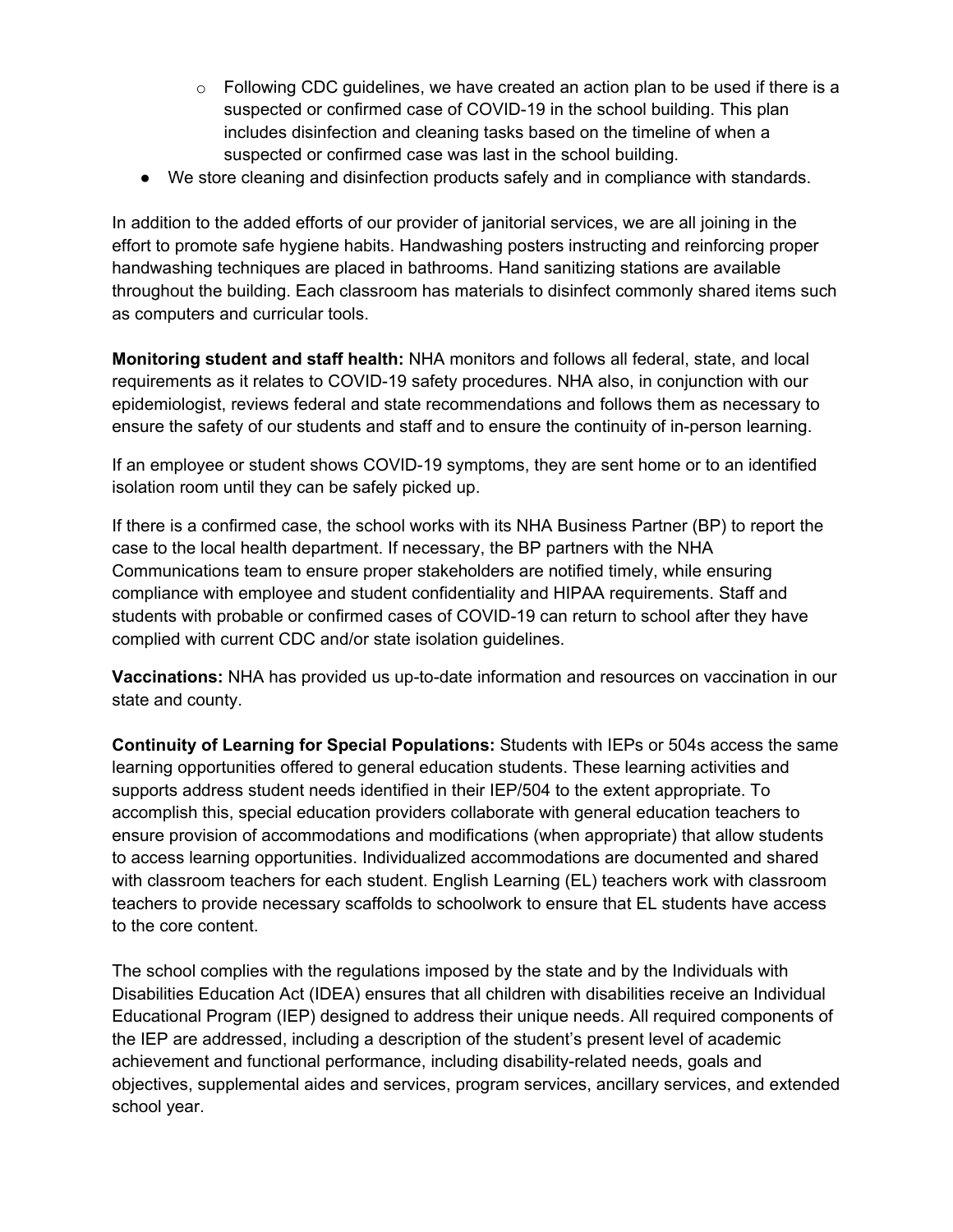- $\circ$  Following CDC guidelines, we have created an action plan to be used if there is a suspected or confirmed case of COVID-19 in the school building. This plan includes disinfection and cleaning tasks based on the timeline of when a suspected or confirmed case was last in the school building.
- We store cleaning and disinfection products safely and in compliance with standards.

In addition to the added efforts of our provider of janitorial services, we are all joining in the effort to promote safe hygiene habits. Handwashing posters instructing and reinforcing proper handwashing techniques are placed in bathrooms. Hand sanitizing stations are available throughout the building. Each classroom has materials to disinfect commonly shared items such as computers and curricular tools.

**Monitoring student and staff health:** NHA monitors and follows all federal, state, and local requirements as it relates to COVID-19 safety procedures. NHA also, in conjunction with our epidemiologist, reviews federal and state recommendations and follows them as necessary to ensure the safety of our students and staff and to ensure the continuity of in-person learning.

If an employee or student shows COVID-19 symptoms, they are sent home or to an identified isolation room until they can be safely picked up.

If there is a confirmed case, the school works with its NHA Business Partner (BP) to report the case to the local health department. If necessary, the BP partners with the NHA Communications team to ensure proper stakeholders are notified timely, while ensuring compliance with employee and student confidentiality and HIPAA requirements. Staff and students with probable or confirmed cases of COVID-19 can return to school after they have complied with current CDC and/or state isolation guidelines.

**Vaccinations:** NHA has provided us up-to-date information and resources on vaccination in our state and county.

**Continuity of Learning for Special Populations:** Students with IEPs or 504s access the same learning opportunities offered to general education students. These learning activities and supports address student needs identified in their IEP/504 to the extent appropriate. To accomplish this, special education providers collaborate with general education teachers to ensure provision of accommodations and modifications (when appropriate) that allow students to access learning opportunities. Individualized accommodations are documented and shared with classroom teachers for each student. English Learning (EL) teachers work with classroom teachers to provide necessary scaffolds to schoolwork to ensure that EL students have access to the core content.

The school complies with the regulations imposed by the state and by the Individuals with Disabilities Education Act (IDEA) ensures that all children with disabilities receive an Individual Educational Program (IEP) designed to address their unique needs. All required components of the IEP are addressed, including a description of the student's present level of academic achievement and functional performance, including disability-related needs, goals and objectives, supplemental aides and services, program services, ancillary services, and extended school year.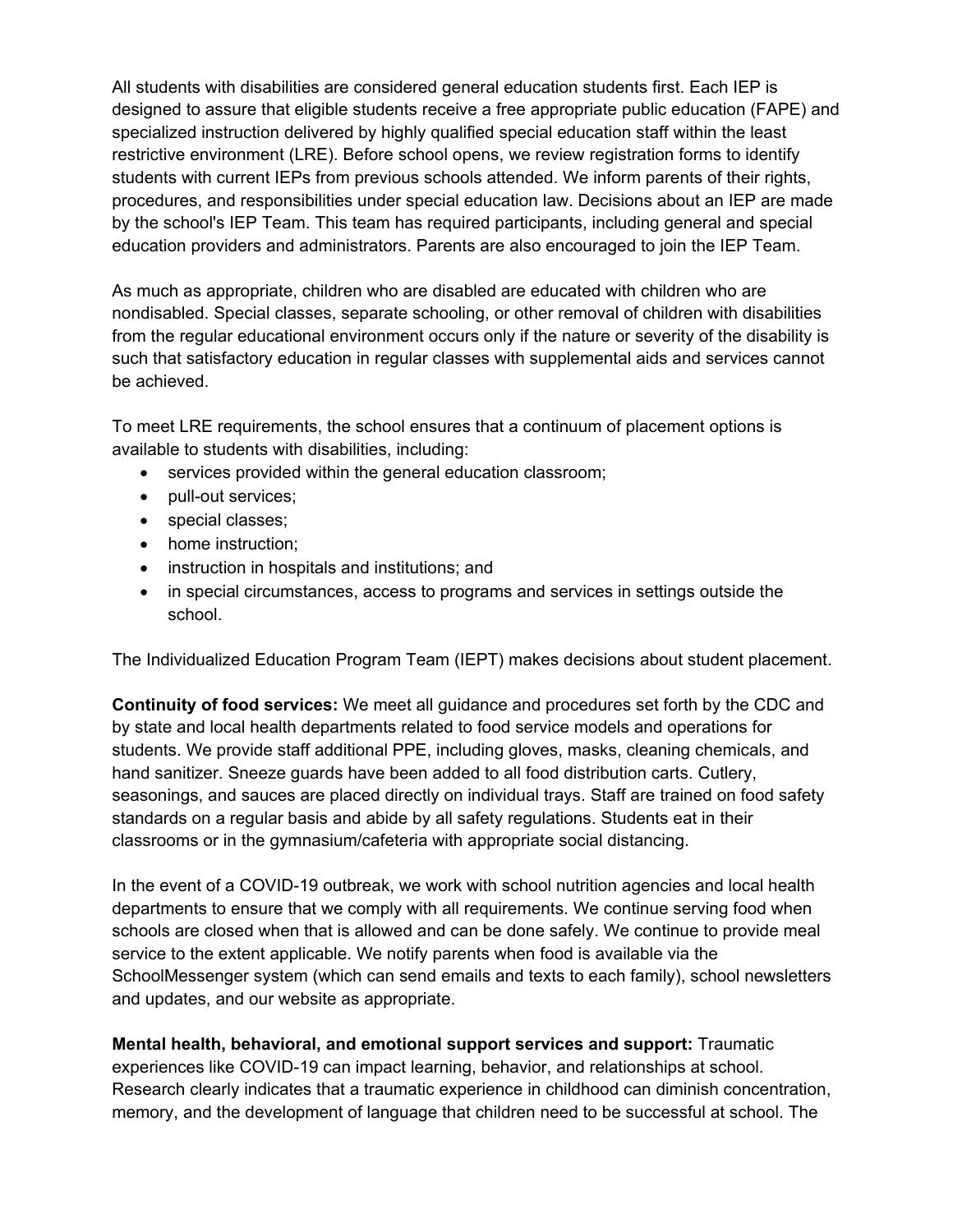All students with disabilities are considered general education students first. Each IEP is designed to assure that eligible students receive a free appropriate public education (FAPE) and specialized instruction delivered by highly qualified special education staff within the least restrictive environment (LRE). Before school opens, we review registration forms to identify students with current IEPs from previous schools attended. We inform parents of their rights, procedures, and responsibilities under special education law. Decisions about an IEP are made by the school's IEP Team. This team has required participants, including general and special education providers and administrators. Parents are also encouraged to join the IEP Team.

As much as appropriate, children who are disabled are educated with children who are nondisabled. Special classes, separate schooling, or other removal of children with disabilities from the regular educational environment occurs only if the nature or severity of the disability is such that satisfactory education in regular classes with supplemental aids and services cannot be achieved.

To meet LRE requirements, the school ensures that a continuum of placement options is available to students with disabilities, including:

- services provided within the general education classroom;
- pull-out services;
- special classes;
- home instruction;
- instruction in hospitals and institutions; and
- in special circumstances, access to programs and services in settings outside the school.

The Individualized Education Program Team (IEPT) makes decisions about student placement.

**Continuity of food services:** We meet all guidance and procedures set forth by the CDC and by state and local health departments related to food service models and operations for students. We provide staff additional PPE, including gloves, masks, cleaning chemicals, and hand sanitizer. Sneeze guards have been added to all food distribution carts. Cutlery, seasonings, and sauces are placed directly on individual trays. Staff are trained on food safety standards on a regular basis and abide by all safety regulations. Students eat in their classrooms or in the gymnasium/cafeteria with appropriate social distancing.

In the event of a COVID-19 outbreak, we work with school nutrition agencies and local health departments to ensure that we comply with all requirements. We continue serving food when schools are closed when that is allowed and can be done safely. We continue to provide meal service to the extent applicable. We notify parents when food is available via the SchoolMessenger system (which can send emails and texts to each family), school newsletters and updates, and our website as appropriate.

**Mental health, behavioral, and emotional support services and support:** Traumatic experiences like COVID-19 can impact learning, behavior, and relationships at school. Research clearly indicates that a traumatic experience in childhood can diminish concentration, memory, and the development of language that children need to be successful at school. The